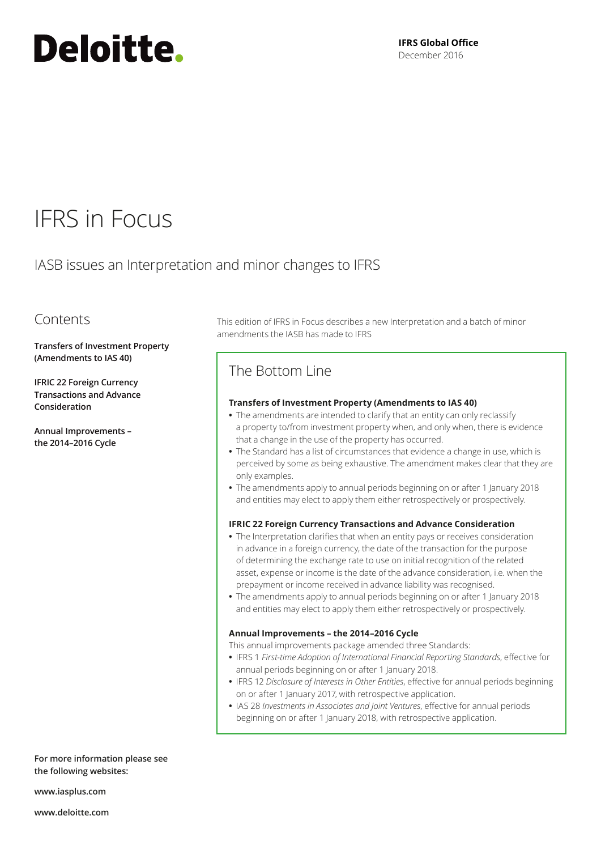# Deloitte.

**IFRS Global Office** December 2016

## IFRS in Focus

IASB issues an Interpretation and minor changes to IFRS

### Contents

**Transfers of Investment Property (Amendments to IAS 40)**

**IFRIC 22 Foreign Currency Transactions and Advance Consideration**

**Annual Improvements – the 2014–2016 Cycle**

This edition of IFRS in Focus describes a new Interpretation and a batch of minor amendments the IASB has made to IFRS

## The Bottom Line

#### **Transfers of Investment Property (Amendments to IAS 40)**

- **•** The amendments are intended to clarify that an entity can only reclassify a property to/from investment property when, and only when, there is evidence that a change in the use of the property has occurred.
- **•** The Standard has a list of circumstances that evidence a change in use, which is perceived by some as being exhaustive. The amendment makes clear that they are only examples.
- **•** The amendments apply to annual periods beginning on or after 1 January 2018 and entities may elect to apply them either retrospectively or prospectively.

#### **IFRIC 22 Foreign Currency Transactions and Advance Consideration**

- **•** The Interpretation clarifies that when an entity pays or receives consideration in advance in a foreign currency, the date of the transaction for the purpose of determining the exchange rate to use on initial recognition of the related asset, expense or income is the date of the advance consideration, i.e. when the prepayment or income received in advance liability was recognised.
- **•** The amendments apply to annual periods beginning on or after 1 January 2018 and entities may elect to apply them either retrospectively or prospectively.

#### **Annual Improvements – the 2014–2016 Cycle**

This annual improvements package amended three Standards:

- **•** IFRS 1 *First-time Adoption of International Financial Reporting Standards*, effective for annual periods beginning on or after 1 January 2018.
- **•** IFRS 12 *Disclosure of Interests in Other Entities*, effective for annual periods beginning on or after 1 January 2017, with retrospective application.
- **•** IAS 28 *Investments in Associates and Joint Ventures*, effective for annual periods beginning on or after 1 January 2018, with retrospective application.

**For more information please see the following websites:**

**www.iasplus.com**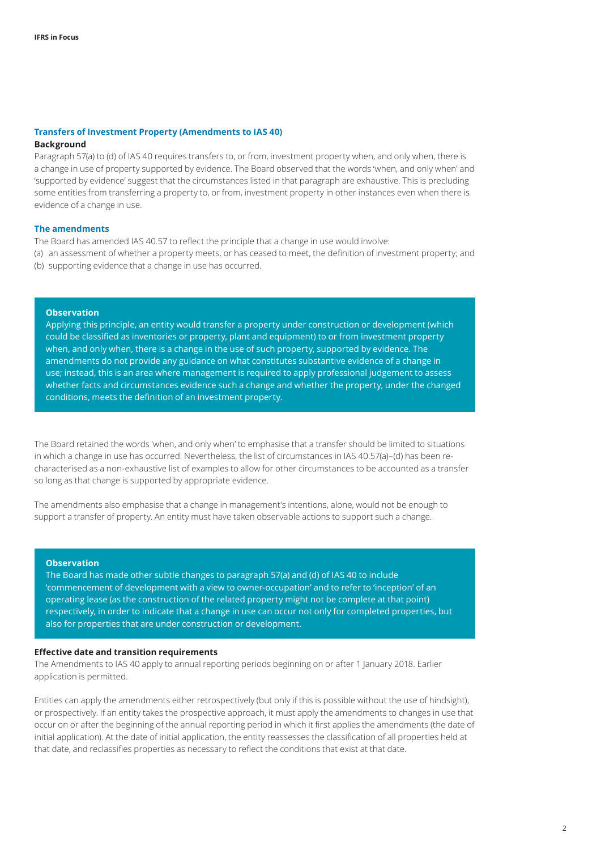#### **Transfers of Investment Property (Amendments to IAS 40)**

#### **Background**

Paragraph 57(a) to (d) of IAS 40 requires transfers to, or from, investment property when, and only when, there is a change in use of property supported by evidence. The Board observed that the words 'when, and only when' and 'supported by evidence' suggest that the circumstances listed in that paragraph are exhaustive. This is precluding some entities from transferring a property to, or from, investment property in other instances even when there is evidence of a change in use.

#### **The amendments**

The Board has amended IAS 40.57 to reflect the principle that a change in use would involve: (a) an assessment of whether a property meets, or has ceased to meet, the definition of investment property; and (b) supporting evidence that a change in use has occurred.

#### **Observation**

Applying this principle, an entity would transfer a property under construction or development (which could be classified as inventories or property, plant and equipment) to or from investment property when, and only when, there is a change in the use of such property, supported by evidence. The amendments do not provide any guidance on what constitutes substantive evidence of a change in use; instead, this is an area where management is required to apply professional judgement to assess whether facts and circumstances evidence such a change and whether the property, under the changed conditions, meets the definition of an investment property.

The Board retained the words 'when, and only when' to emphasise that a transfer should be limited to situations in which a change in use has occurred. Nevertheless, the list of circumstances in IAS 40.57(a)–(d) has been recharacterised as a non-exhaustive list of examples to allow for other circumstances to be accounted as a transfer so long as that change is supported by appropriate evidence.

The amendments also emphasise that a change in management's intentions, alone, would not be enough to support a transfer of property. An entity must have taken observable actions to support such a change.

#### **Observation**

The Board has made other subtle changes to paragraph 57(a) and (d) of IAS 40 to include 'commencement of development with a view to owner-occupation' and to refer to 'inception' of an operating lease (as the construction of the related property might not be complete at that point) respectively, in order to indicate that a change in use can occur not only for completed properties, but also for properties that are under construction or development.

#### **Effective date and transition requirements**

The Amendments to IAS 40 apply to annual reporting periods beginning on or after 1 January 2018. Earlier application is permitted.

Entities can apply the amendments either retrospectively (but only if this is possible without the use of hindsight), or prospectively. If an entity takes the prospective approach, it must apply the amendments to changes in use that occur on or after the beginning of the annual reporting period in which it first applies the amendments (the date of initial application). At the date of initial application, the entity reassesses the classification of all properties held at that date, and reclassifies properties as necessary to reflect the conditions that exist at that date.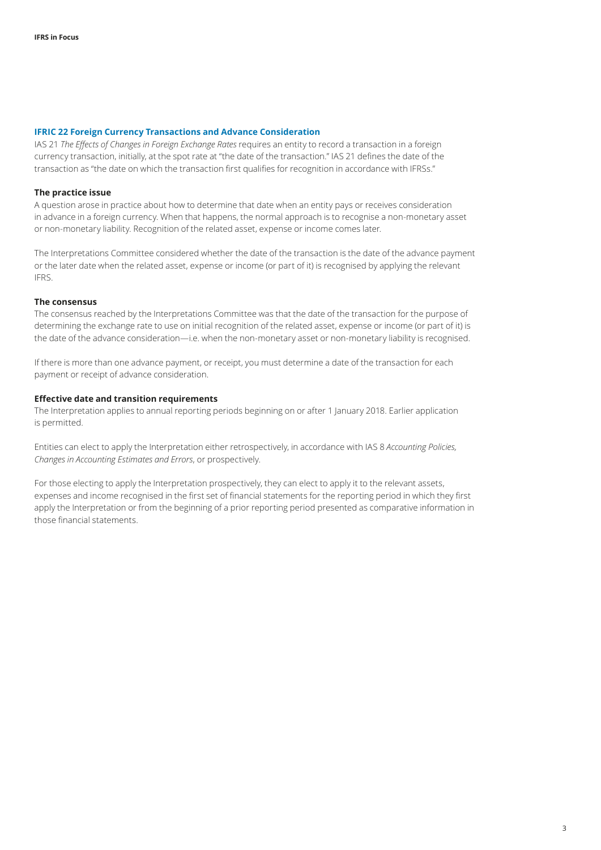#### **IFRIC 22 Foreign Currency Transactions and Advance Consideration**

IAS 21 *The Effects of Changes in Foreign Exchange Rates* requires an entity to record a transaction in a foreign currency transaction, initially, at the spot rate at "the date of the transaction." IAS 21 defines the date of the transaction as "the date on which the transaction first qualifies for recognition in accordance with IFRSs."

#### **The practice issue**

A question arose in practice about how to determine that date when an entity pays or receives consideration in advance in a foreign currency. When that happens, the normal approach is to recognise a non-monetary asset or non-monetary liability. Recognition of the related asset, expense or income comes later.

The Interpretations Committee considered whether the date of the transaction is the date of the advance payment or the later date when the related asset, expense or income (or part of it) is recognised by applying the relevant IFRS.

#### **The consensus**

The consensus reached by the Interpretations Committee was that the date of the transaction for the purpose of determining the exchange rate to use on initial recognition of the related asset, expense or income (or part of it) is the date of the advance consideration—i.e. when the non-monetary asset or non-monetary liability is recognised.

If there is more than one advance payment, or receipt, you must determine a date of the transaction for each payment or receipt of advance consideration.

#### **Effective date and transition requirements**

The Interpretation applies to annual reporting periods beginning on or after 1 January 2018. Earlier application is permitted.

Entities can elect to apply the Interpretation either retrospectively, in accordance with IAS 8 *Accounting Policies, Changes in Accounting Estimates and Errors*, or prospectively.

For those electing to apply the Interpretation prospectively, they can elect to apply it to the relevant assets, expenses and income recognised in the first set of financial statements for the reporting period in which they first apply the Interpretation or from the beginning of a prior reporting period presented as comparative information in those financial statements.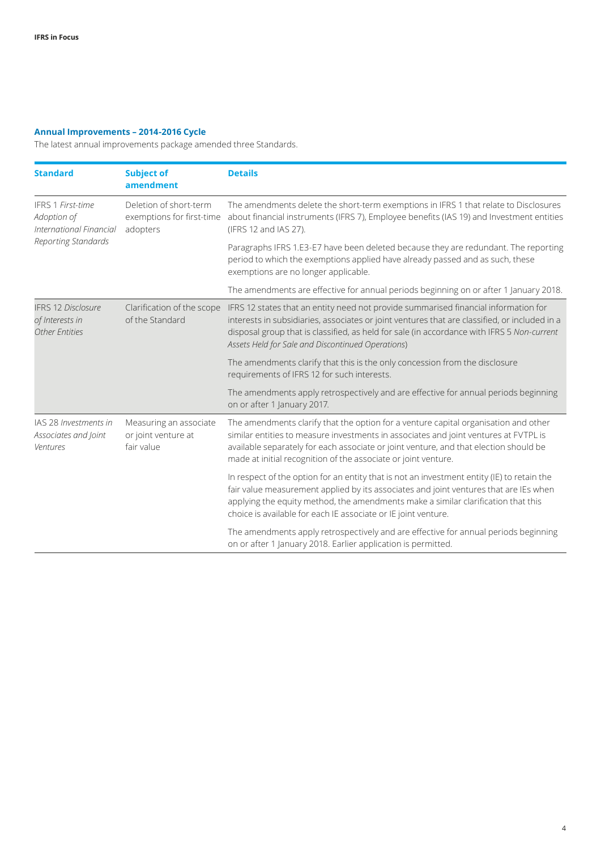### **Annual Improvements – 2014-2016 Cycle**

The latest annual improvements package amended three Standards.

| <b>Standard</b>                                                                           | <b>Subject of</b><br>amendment                                  | <b>Details</b>                                                                                                                                                                                                                                                                                                                                                     |
|-------------------------------------------------------------------------------------------|-----------------------------------------------------------------|--------------------------------------------------------------------------------------------------------------------------------------------------------------------------------------------------------------------------------------------------------------------------------------------------------------------------------------------------------------------|
| <b>IFRS 1 First-time</b><br>Adoption of<br>International Financial<br>Reporting Standards | Deletion of short-term<br>exemptions for first-time<br>adopters | The amendments delete the short-term exemptions in IFRS 1 that relate to Disclosures<br>about financial instruments (IFRS 7), Employee benefits (IAS 19) and Investment entities<br>(IFRS 12 and IAS 27).                                                                                                                                                          |
|                                                                                           |                                                                 | Paragraphs IFRS 1.E3-E7 have been deleted because they are redundant. The reporting<br>period to which the exemptions applied have already passed and as such, these<br>exemptions are no longer applicable.                                                                                                                                                       |
|                                                                                           |                                                                 | The amendments are effective for annual periods beginning on or after 1 January 2018.                                                                                                                                                                                                                                                                              |
| <b>IFRS 12 Disclosure</b><br>of Interests in<br><b>Other Entities</b>                     | of the Standard                                                 | Clarification of the scope IFRS 12 states that an entity need not provide summarised financial information for<br>interests in subsidiaries, associates or joint ventures that are classified, or included in a<br>disposal group that is classified, as held for sale (in accordance with IFRS 5 Non-current<br>Assets Held for Sale and Discontinued Operations) |
|                                                                                           |                                                                 | The amendments clarify that this is the only concession from the disclosure<br>requirements of IFRS 12 for such interests.                                                                                                                                                                                                                                         |
|                                                                                           |                                                                 | The amendments apply retrospectively and are effective for annual periods beginning<br>on or after 1 January 2017.                                                                                                                                                                                                                                                 |
| IAS 28 Investments in<br>Associates and Joint<br>Ventures                                 | Measuring an associate<br>or joint venture at<br>fair value     | The amendments clarify that the option for a venture capital organisation and other<br>similar entities to measure investments in associates and joint ventures at FVTPL is<br>available separately for each associate or joint venture, and that election should be<br>made at initial recognition of the associate or joint venture.                             |
|                                                                                           |                                                                 | In respect of the option for an entity that is not an investment entity (IE) to retain the<br>fair value measurement applied by its associates and joint ventures that are IEs when<br>applying the equity method, the amendments make a similar clarification that this<br>choice is available for each IE associate or IE joint venture.                         |
|                                                                                           |                                                                 | The amendments apply retrospectively and are effective for annual periods beginning<br>on or after 1 January 2018. Earlier application is permitted.                                                                                                                                                                                                               |